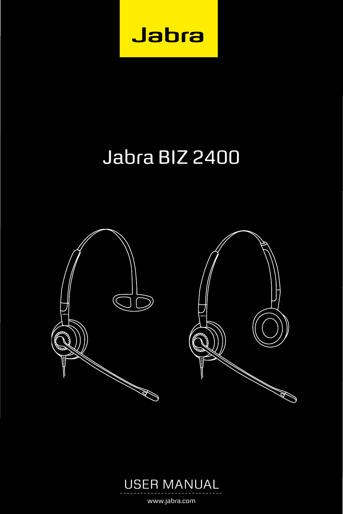

# Jabra BIZ 2400





www.jabra.com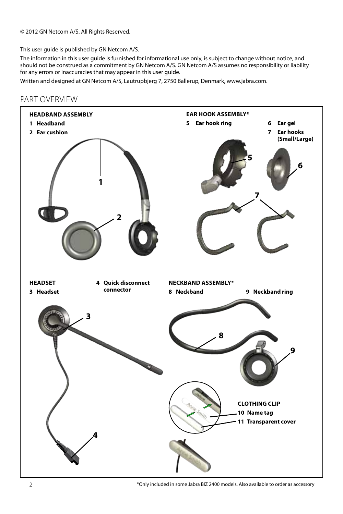© 2012 GN Netcom A/S. All Rights Reserved.

This user guide is published by GN Netcom A/S.

The information in this user guide is furnished for informational use only, is subject to change without notice, and should not be construed as a commitment by GN Netcom A/S. GN Netcom A/S assumes no responsibility or liability for any errors or inaccuracies that may appear in this user guide.

Written and designed at GN Netcom A/S, Lautrupbjerg 7, 2750 Ballerup, Denmark, www.jabra.com.



# part overview

\*Only included in some Jabra BIZ 2400 models. Also available to order as accessory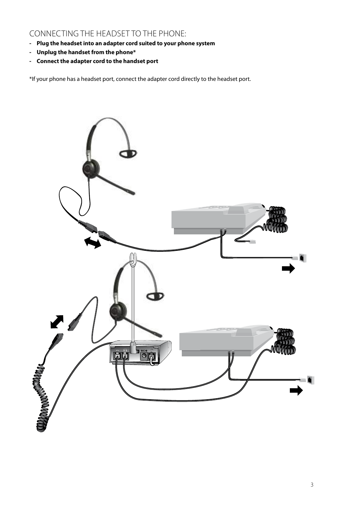# connecting the headset to the phone:

- **Plug the headset into an adapter cord suited to your phone system**
- **- Unplug the handset from the phone\***
- **Connect the adapter cord to the handset port**

\*If your phone has a headset port, connect the adapter cord directly to the headset port.

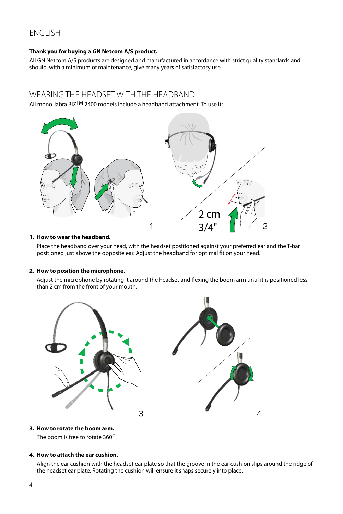# English

# **Thank you for buying a GN Netcom A/S product.**

All GN Netcom A/S products are designed and manufactured in accordance with strict quality standards and should, with a minimum of maintenance, give many years of satisfactory use.

# WEARING THE HEADSET WITH THE HEADBAND

All mono Jabra BIZTM 2400 models include a headband attachment. To use it:



# **1. How to wear the headband.**

Place the headband over your head, with the headset positioned against your preferred ear and the T-bar positioned just above the opposite ear. Adjust the headband for optimal fit on your head.

## **2. How to position the microphone.**

Adjust the microphone by rotating it around the headset and flexing the boom arm until it is positioned less than 2 cm from the front of your mouth.



# **3. How to rotate the boom arm.**

The boom is free to rotate 360<sup>0</sup>.

# **4. How to attach the ear cushion.**

Align the ear cushion with the headset ear plate so that the groove in the ear cushion slips around the ridge of the headset ear plate. Rotating the cushion will ensure it snaps securely into place.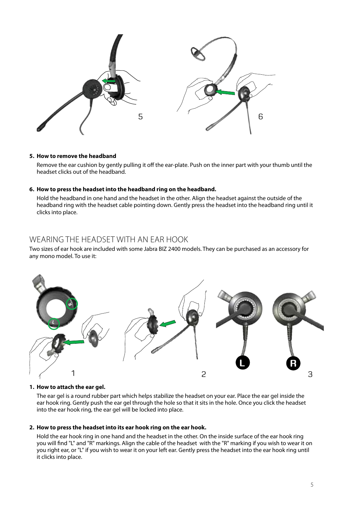

## **5. How to remove the headband**

Remove the ear cushion by gently pulling it off the ear-plate. Push on the inner part with your thumb until the headset clicks out of the headband.

## **6. How to press the headset into the headband ring on the headband.**

Hold the headband in one hand and the headset in the other. Align the headset against the outside of the headband ring with the headset cable pointing down. Gently press the headset into the headband ring until it clicks into place.

# Wearing the Headset with an Ear Hook

Two sizes of ear hook are included with some Jabra BIZ 2400 models. They can be purchased as an accessory for any mono model. To use it:



## **1. How to attach the ear gel.**

The ear gel is a round rubber part which helps stabilize the headset on your ear. Place the ear gel inside the ear hook ring. Gently push the ear gel through the hole so that it sits in the hole. Once you click the headset into the ear hook ring, the ear gel will be locked into place.

## **2. How to press the headset into its ear hook ring on the ear hook.**

Hold the ear hook ring in one hand and the headset in the other. On the inside surface of the ear hook ring you will find "L" and "R" markings. Align the cable of the headset with the "R" marking if you wish to wear it on you right ear, or "L" if you wish to wear it on your left ear. Gently press the headset into the ear hook ring until it clicks into place.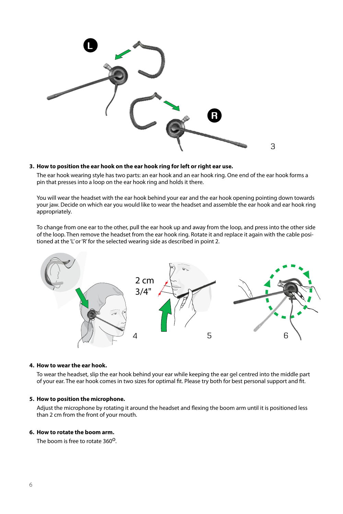

# **3. How to position the ear hook on the ear hook ring for left or right ear use.**

The ear hook wearing style has two parts: an ear hook and an ear hook ring. One end of the ear hook forms a pin that presses into a loop on the ear hook ring and holds it there.

You will wear the headset with the ear hook behind your ear and the ear hook opening pointing down towards your jaw. Decide on which ear you would like to wear the headset and assemble the ear hook and ear hook ring appropriately.

To change from one ear to the other, pull the ear hook up and away from the loop, and press into the other side of the loop. Then remove the headset from the ear hook ring. Rotate it and replace it again with the cable positioned at the 'L' or 'R' for the selected wearing side as described in point 2.



#### **4. How to wear the ear hook.**

To wear the headset, slip the ear hook behind your ear while keeping the ear gel centred into the middle part of your ear. The ear hook comes in two sizes for optimal fit. Please try both for best personal support and fit.

#### **5. How to position the microphone.**

Adjust the microphone by rotating it around the headset and flexing the boom arm until it is positioned less than 2 cm from the front of your mouth.

# **6. How to rotate the boom arm.**

The boom is free to rotate 360<sup>o</sup>.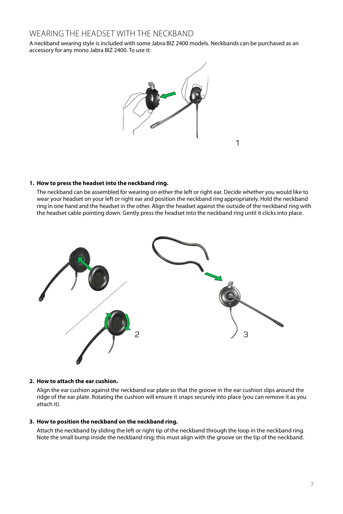# WEARING THE HEADSET WITH THE NECKBAND

A neckband wearing style is included with some Jabra BIZ 2400 models. Neckbands can be purchased as an accessory for any mono Jabra BIZ 2400. To use it:



1

## **1. How to press the headset into the neckband ring.**

The neckband can be assembled for wearing on either the left or right ear. Decide whether you would like to wear your headset on your left or right ear and position the neckband ring appropriately. Hold the neckband ring in one hand and the headset in the other. Align the headset against the outside of the neckband ring with the headset cable pointing down. Gently press the headset into the neckband ring until it clicks into place.



#### **2. How to attach the ear cushion.**

Align the ear cushion against the neckband ear plate so that the groove in the ear cushion slips around the ridge of the ear plate. Rotating the cushion will ensure it snaps securely into place (you can remove it as you attach it).

# **3. How to position the neckband on the neckband ring.**

Attach the neckband by sliding the left or right tip of the neckband through the loop in the neckband ring. Note the small bump inside the neckband ring; this must align with the groove on the tip of the neckband.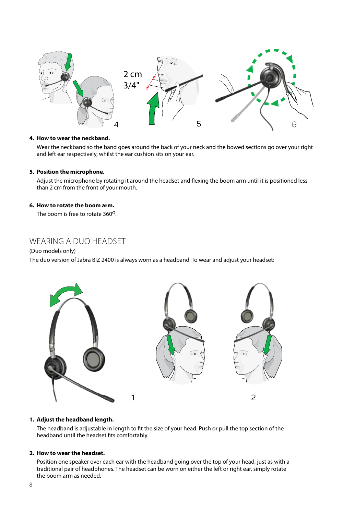

# **4. How to wear the neckband.**

Wear the neckband so the band goes around the back of your neck and the bowed sections go over your right and left ear respectively, whilst the ear cushion sits on your ear.

# **5. Position the microphone.**

Adjust the microphone by rotating it around the headset and flexing the boom arm until it is positioned less than 2 cm from the front of your mouth.

# **6. How to rotate the boom arm.**

The boom is free to rotate 360<sup>o</sup>.

# Wearing a Duo Headset

# (Duo models only)

The duo version of Jabra BIZ 2400 is always worn as a headband. To wear and adjust your headset:



## **1. Adjust the headband length.**

The headband is adjustable in length to fit the size of your head. Push or pull the top section of the headband until the headset fits comfortably.

# **2. How to wear the headset.**

Position one speaker over each ear with the headband going over the top of your head, just as with a traditional pair of headphones. The headset can be worn on either the left or right ear, simply rotate the boom arm as needed.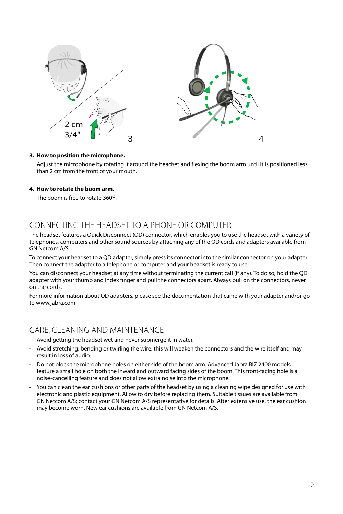

# **3. How to position the microphone.**

Adjust the microphone by rotating it around the headset and flexing the boom arm until it is positioned less than 2 cm from the front of your mouth.

# **4. How to rotate the boom arm.**

The boom is free to rotate 360<sup>0</sup>

# Connecting the Headset to a Phone or Computer

The headset features a Quick Disconnect (QD) connector, which enables you to use the headset with a variety of telephones, computers and other sound sources by attaching any of the QD cords and adapters available from GN Netcom A/S.

To connect your headset to a QD adapter, simply press its connector into the similar connector on your adapter. Then connect the adapter to a telephone or computer and your headset is ready to use.

You can disconnect your headset at any time without terminating the current call (if any). To do so, hold the QD adapter with your thumb and index finger and pull the connectors apart. Always pull on the connectors, never on the cords.

For more information about QD adapters, please see the documentation that came with your adapter and/or go to www.jabra.com.

# Care, Cleaning and Maintenance

- Avoid getting the headset wet and never submerge it in water.
- Avoid stretching, bending or twirling the wire; this will weaken the connectors and the wire itself and may result in loss of audio.
- Do not block the microphone holes on either side of the boom arm. Advanced Jabra BIZ 2400 models feature a small hole on both the inward and outward facing sides of the boom. This front-facing hole is a noise-cancelling feature and does not allow extra noise into the microphone.
- You can clean the ear cushions or other parts of the headset by using a cleaning wipe designed for use with electronic and plastic equipment. Allow to dry before replacing them. Suitable tissues are available from GN Netcom A/S; contact your GN Netcom A/S representative for details. After extensive use, the ear cushion may become worn. New ear cushions are available from GN Netcom A/S.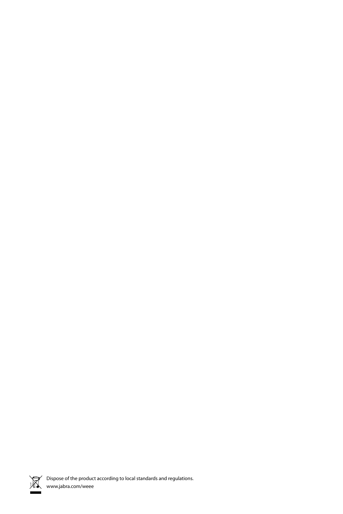

Dispose of the product according to local standards and regulations.<br>  $W$